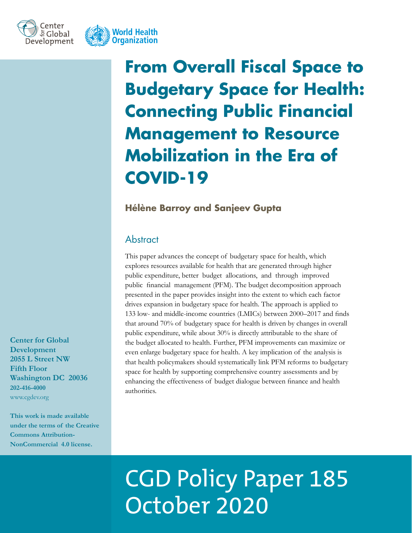



**From Overall Fiscal Space to Budgetary Space for Health: Connecting Public Financial Management to Resource Mobilization in the Era of COVID-19**

# **Hélène Barroy and Sanjeev Gupta**

# **Abstract**

This paper advances the concept of budgetary space for health, which explores resources available for health that are generated through higher public expenditure, better budget allocations, and through improved public financial management (PFM). The budget decomposition approach presented in the paper provides insight into the extent to which each factor drives expansion in budgetary space for health. The approach is applied to 133 low- and middle-income countries (LMICs) between 2000–2017 and finds that around 70% of budgetary space for health is driven by changes in overall public expenditure, while about 30% is directly attributable to the share of the budget allocated to health. Further, PFM improvements can maximize or even enlarge budgetary space for health. A key implication of the analysis is that health policymakers should systematically link PFM reforms to budgetary space for health by supporting comprehensive country assessments and by enhancing the effectiveness of budget dialogue between finance and health authorities.

**Center for Global Development 2055 L Street NW Fifth Floor Washington DC 20036 202-416-4000**  www.cgdev.org

**This work is made available under the terms of the Creative Commons Attribution-NonCommercial 4.0 license.**

# CGD Policy Paper 185 October 2020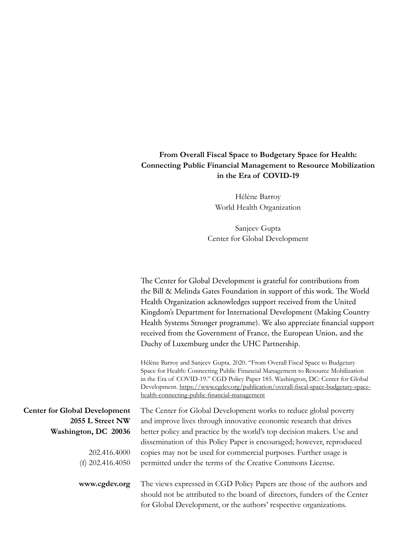# **From Overall Fiscal Space to Budgetary Space for Health: Connecting Public Financial Management to Resource Mobilization in the Era of COVID-19**

Hélène Barroy World Health Organization

Sanjeev Gupta Center for Global Development

|                                                                                                                        | The Center for Global Development is grateful for contributions from<br>the Bill & Melinda Gates Foundation in support of this work. The World<br>Health Organization acknowledges support received from the United<br>Kingdom's Department for International Development (Making Country<br>Health Systems Stronger programme). We also appreciate financial support<br>received from the Government of France, the European Union, and the<br>Duchy of Luxemburg under the UHC Partnership. |
|------------------------------------------------------------------------------------------------------------------------|-----------------------------------------------------------------------------------------------------------------------------------------------------------------------------------------------------------------------------------------------------------------------------------------------------------------------------------------------------------------------------------------------------------------------------------------------------------------------------------------------|
|                                                                                                                        | Hélène Barroy and Sanjeev Gupta. 2020. "From Overall Fiscal Space to Budgetary<br>Space for Health: Connecting Public Financial Management to Resource Mobilization<br>in the Era of COVID-19." CGD Policy Paper 185. Washington, DC: Center for Global<br>Development. https://www.cgdev.org/publication/overall-fiscal-space-budgetary-space-<br>health-connecting-public-financial-management                                                                                              |
| <b>Center for Global Development</b><br>2055 L Street NW<br>Washington, DC 20036<br>202.416.4000<br>(f) $202.416.4050$ | The Center for Global Development works to reduce global poverty<br>and improve lives through innovative economic research that drives<br>better policy and practice by the world's top decision makers. Use and<br>dissemination of this Policy Paper is encouraged; however, reproduced<br>copies may not be used for commercial purposes. Further usage is<br>permitted under the terms of the Creative Commons License.                                                                   |
| www.cgdev.org                                                                                                          | The views expressed in CGD Policy Papers are those of the authors and<br>should not be attributed to the board of directors, funders of the Center<br>for Global Development, or the authors' respective organizations.                                                                                                                                                                                                                                                                       |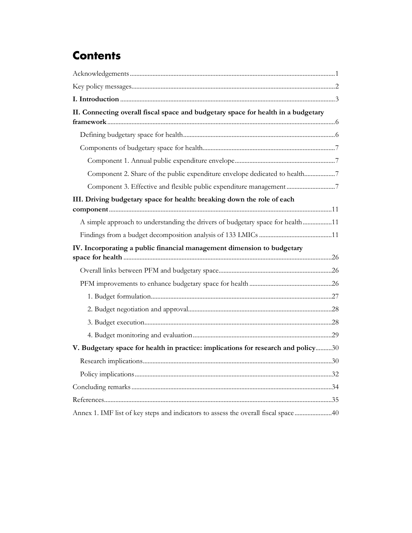# **Contents**

| II. Connecting overall fiscal space and budgetary space for health in a budgetary   |  |
|-------------------------------------------------------------------------------------|--|
|                                                                                     |  |
|                                                                                     |  |
|                                                                                     |  |
| Component 2. Share of the public expenditure envelope dedicated to health7          |  |
|                                                                                     |  |
| III. Driving budgetary space for health: breaking down the role of each             |  |
|                                                                                     |  |
| A simple approach to understanding the drivers of budgetary space for health11      |  |
|                                                                                     |  |
| IV. Incorporating a public financial management dimension to budgetary              |  |
|                                                                                     |  |
|                                                                                     |  |
|                                                                                     |  |
|                                                                                     |  |
|                                                                                     |  |
|                                                                                     |  |
| V. Budgetary space for health in practice: implications for research and policy30   |  |
|                                                                                     |  |
|                                                                                     |  |
|                                                                                     |  |
|                                                                                     |  |
| Annex 1. IMF list of key steps and indicators to assess the overall fiscal space 40 |  |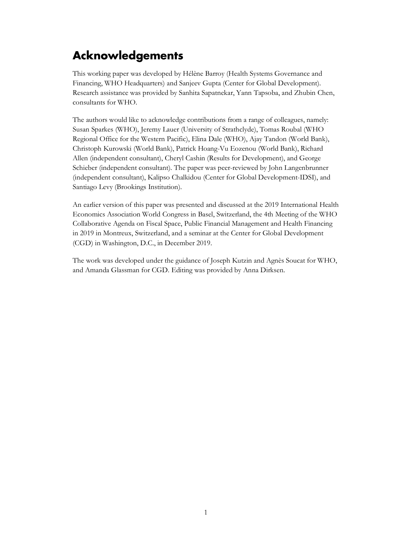# <span id="page-3-0"></span>**Acknowledgements**

This working paper was developed by Hélène Barroy (Health Systems Governance and Financing, WHO Headquarters) and Sanjeev Gupta (Center for Global Development). Research assistance was provided by Sanhita Sapatnekar, Yann Tapsoba, and Zhubin Chen, consultants for WHO.

The authors would like to acknowledge contributions from a range of colleagues, namely: Susan Sparkes (WHO), Jeremy Lauer (University of Strathclyde), Tomas Roubal (WHO Regional Office for the Western Pacific), Elina Dale (WHO), Ajay Tandon (World Bank), Christoph Kurowski (World Bank), Patrick Hoang-Vu Eozenou (World Bank), Richard Allen (independent consultant), Cheryl Cashin (Results for Development), and George Schieber (independent consultant). The paper was peer-reviewed by John Langenbrunner (independent consultant), Kalipso Chalkidou (Center for Global Development-IDSI), and Santiago Levy (Brookings Institution).

An earlier version of this paper was presented and discussed at the 2019 International Health Economics Association World Congress in Basel, Switzerland, the 4th Meeting of the WHO Collaborative Agenda on Fiscal Space, Public Financial Management and Health Financing in 2019 in Montreux, Switzerland, and a seminar at the Center for Global Development (CGD) in Washington, D.C., in December 2019.

The work was developed under the guidance of Joseph Kutzin and Agnès Soucat for WHO, and Amanda Glassman for CGD. Editing was provided by Anna Dirksen.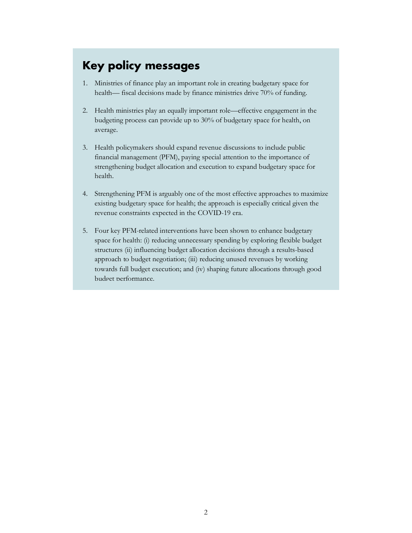# **Key policy messages**

- 1. Ministries of finance play an important role in creating budgetary space for health— fiscal decisions made by finance ministries drive 70% of funding.
- 2. Health ministries play an equally important role—effective engagement in the budgeting process can provide up to 30% of budgetary space for health, on average.
- 3. Health policymakers should expand revenue discussions to include public financial management (PFM), paying special attention to the importance of strengthening budget allocation and execution to expand budgetary space for health.
- 4. Strengthening PFM is arguably one of the most effective approaches to maximize existing budgetary space for health; the approach is especially critical given the revenue constraints expected in the COVID-19 era.
- 5. Four key PFM-related interventions have been shown to enhance budgetary space for health: (i) reducing unnecessary spending by exploring flexible budget structures (ii) influencing budget allocation decisions through a results-based approach to budget negotiation; (iii) reducing unused revenues by working towards full budget execution; and (iv) shaping future allocations through good budget performance.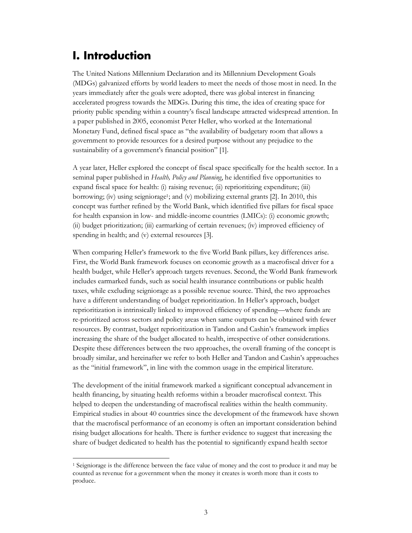# <span id="page-5-0"></span>**I. Introduction**

The United Nations Millennium Declaration and its Millennium Development Goals (MDGs) galvanized efforts by world leaders to meet the needs of those most in need. In the years immediately after the goals were adopted, there was global interest in financing accelerated progress towards the MDGs. During this time, the idea of creating space for priority public spending within a country's fiscal landscape attracted widespread attention. In a paper published in 2005, economist Peter Heller, who worked at the International Monetary Fund, defined fiscal space as "the availability of budgetary room that allows a government to provide resources for a desired purpose without any prejudice to the sustainability of a government's financial position" [1].

A year later, Heller explored the concept of fiscal space specifically for the health sector. In a seminal paper published in *Health, Policy and Planning*, he identified five opportunities to expand fiscal space for health: (i) raising revenue; (ii) reprioritizing expenditure; (iii) borrowing; (iv) using seigniorage<sup>1</sup>; and (v) mobilizing external grants [2]. In 2010, this concept was further refined by the World Bank, which identified five pillars for fiscal space for health expansion in low- and middle-income countries (LMICs): (i) economic growth; (ii) budget prioritization; (iii) earmarking of certain revenues; (iv) improved efficiency of spending in health; and (v) external resources [3].

When comparing Heller's framework to the five World Bank pillars, key differences arise. First, the World Bank framework focuses on economic growth as a macrofiscal driver for a health budget, while Heller's approach targets revenues. Second, the World Bank framework includes earmarked funds, such as social health insurance contributions or public health taxes, while excluding seigniorage as a possible revenue source. Third, the two approaches have a different understanding of budget reprioritization. In Heller's approach, budget reprioritization is intrinsically linked to improved efficiency of spending—where funds are re-prioritized across sectors and policy areas when same outputs can be obtained with fewer resources. By contrast, budget reprioritization in Tandon and Cashin's framework implies increasing the share of the budget allocated to health, irrespective of other considerations. Despite these differences between the two approaches, the overall framing of the concept is broadly similar, and hereinafter we refer to both Heller and Tandon and Cashin's approaches as the "initial framework", in line with the common usage in the empirical literature.

The development of the initial framework marked a significant conceptual advancement in health financing, by situating health reforms within a broader macrofiscal context. This helped to deepen the understanding of macrofiscal realities within the health community. Empirical studies in about 40 countries since the development of the framework have shown that the macrofiscal performance of an economy is often an important consideration behind rising budget allocations for health. There is further evidence to suggest that increasing the share of budget dedicated to health has the potential to significantly expand health sector

<span id="page-5-1"></span><sup>&</sup>lt;sup>1</sup> Seigniorage is the difference between the face value of money and the cost to produce it and may be counted as revenue for a government when the money it creates is worth more than it costs to produce.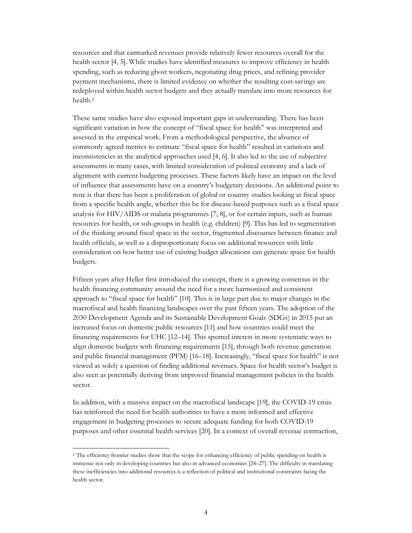resources and that earmarked revenues provide relatively fewer resources overall for the health sector [4, 5]. While studies have identified measures to improve efficiency in health spending, such as reducing ghost workers, negotiating drug prices, and refining provider payment mechanisms, there is limited evidence on whether the resulting cost-savings are redeployed within health sector budgets and they actually translate into more resources for health.[2](#page-6-0)

These same studies have also exposed important gaps in understanding. There has been significant variation in how the concept of "fiscal space for health" was interpreted and assessed in the empirical work. From a methodological perspective, the absence of commonly agreed metrics to estimate "fiscal space for health" resulted in variations and inconsistencies in the analytical approaches used [4, 6]. It also led to the use of subjective assessments in many cases, with limited consideration of political economy and a lack of alignment with current budgeting processes. These factors likely have an impact on the level of influence that assessments have on a country's budgetary decisions. An additional point to note is that there has been a proliferation of global or country studies looking at fiscal space from a specific health angle, whether this be for disease-based purposes such as a fiscal space analysis for  $HIV/ AIDS$  or malaria programmes [7, 8], or for certain inputs, such as human resources for health, or sub-groups in health (e.g. children) [9]. This has led to segmentation of the thinking around fiscal space in the sector, fragmented discourses between finance and health officials, as well as a disproportionate focus on additional resources with little consideration on how better use of existing budget allocations can generate space for health budgets.

Fifteen years after Heller first introduced the concept, there is a growing consensus in the health financing community around the need for a more harmonized and consistent approach to "fiscal space for health" [10]. This is in large part due to major changes in the macrofiscal and health financing landscapes over the past fifteen years. The adoption of the 2030 Development Agenda and its Sustainable Development Goals (SDGs) in 2015 put an increased focus on domestic public resources [11] and how countries could meet the financing requirements for UHC [12–14]. This spurred interest in more systematic ways to align domestic budgets with financing requirements [15], through both revenue generation and public financial management (PFM) [16–18]. Increasingly, "fiscal space for health" is not viewed as solely a question of finding additional revenues. Space for health sector's budget is also seen as potentially deriving from improved financial management policies in the health sector.

In addition, with a massive impact on the macrofiscal landscape [19], the COVID-19 crisis has reinforced the need for health authorities to have a more informed and effective engagement in budgeting processes to secure adequate funding for both COVID-19 purposes and other essential health services [20]. In a context of overall revenue contraction,

<span id="page-6-0"></span><sup>&</sup>lt;sup>2</sup> The efficiency frontier studies show that the scope for enhancing efficiency of public spending on health is immense not only in developing countries but also in advanced economies [24–27]. The difficulty in translating these inefficiencies into additional resources is a reflection of political and institutional constraints facing the health sector.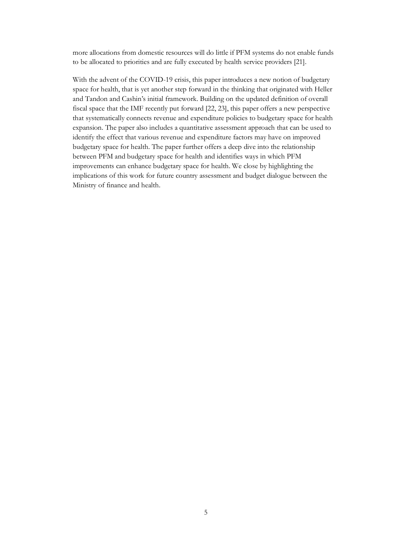more allocations from domestic resources will do little if PFM systems do not enable funds to be allocated to priorities and are fully executed by health service providers [21].

With the advent of the COVID-19 crisis, this paper introduces a new notion of budgetary space for health, that is yet another step forward in the thinking that originated with Heller and Tandon and Cashin's initial framework. Building on the updated definition of overall fiscal space that the IMF recently put forward [22, 23], this paper offers a new perspective that systematically connects revenue and expenditure policies to budgetary space for health expansion. The paper also includes a quantitative assessment approach that can be used to identify the effect that various revenue and expenditure factors may have on improved budgetary space for health. The paper further offers a deep dive into the relationship between PFM and budgetary space for health and identifies ways in which PFM improvements can enhance budgetary space for health. We close by highlighting the implications of this work for future country assessment and budget dialogue between the Ministry of finance and health.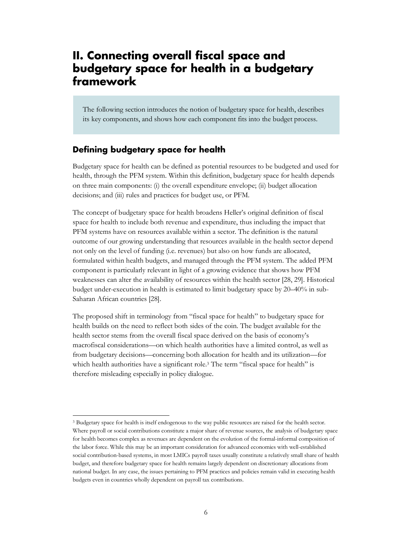# <span id="page-8-0"></span>**II. Connecting overall fiscal space and budgetary space for health in a budgetary framework**

<span id="page-8-1"></span>The following section introduces the notion of budgetary space for health, describes its key components, and shows how each component fits into the budget process.

# **Defining budgetary space for health**

Budgetary space for health can be defined as potential resources to be budgeted and used for health, through the PFM system. Within this definition, budgetary space for health depends on three main components: (i) the overall expenditure envelope; (ii) budget allocation decisions; and (iii) rules and practices for budget use, or PFM.

The concept of budgetary space for health broadens Heller's original definition of fiscal space for health to include both revenue and expenditure, thus including the impact that PFM systems have on resources available within a sector. The definition is the natural outcome of our growing understanding that resources available in the health sector depend not only on the level of funding (i.e. revenues) but also on how funds are allocated, formulated within health budgets, and managed through the PFM system. The added PFM component is particularly relevant in light of a growing evidence that shows how PFM weaknesses can alter the availability of resources within the health sector [28, 29]. Historical budget under-execution in health is estimated to limit budgetary space by 20–40% in sub-Saharan African countries [28].

The proposed shift in terminology from "fiscal space for health" to budgetary space for health builds on the need to reflect both sides of the coin. The budget available for the health sector stems from the overall fiscal space derived on the basis of economy's macrofiscal considerations—on which health a[u](#page-8-2)thorities have a limited control, as well as from budgetary decisions—concerning both allocation for health and its utilization—for which health authorities have a significant role.<sup>3</sup> The term "fiscal space for health" is therefore misleading especially in policy dialogue.

<span id="page-8-2"></span> <sup>3</sup> Budgetary space for health is itself endogenous to the way public resources are raised for the health sector. Where payroll or social contributions constitute a major share of revenue sources, the analysis of budgetary space for health becomes complex as revenues are dependent on the evolution of the formal-informal composition of the labor force. While this may be an important consideration for advanced economies with well-established social contribution-based systems, in most LMICs payroll taxes usually constitute a relatively small share of health budget, and therefore budgetary space for health remains largely dependent on discretionary allocations from national budget. In any case, the issues pertaining to PFM practices and policies remain valid in executing health budgets even in countries wholly dependent on payroll tax contributions.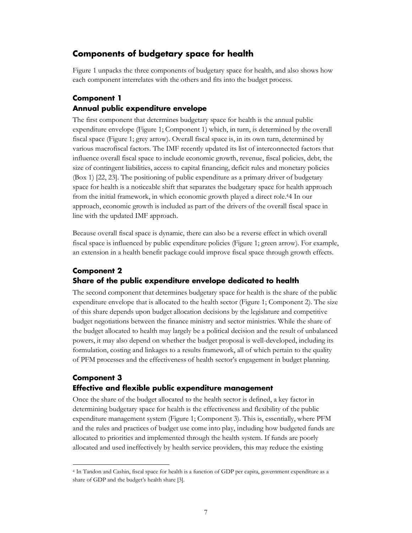# <span id="page-9-0"></span>**Components of budgetary space for health**

Figure 1 unpacks the three components of budgetary space for health, and also shows how each component interrelates with the others and fits into the budget process.

### <span id="page-9-1"></span>**Component 1 Annual public expenditure envelope**

The first component that determines budgetary space for health is the annual public expenditure envelope (Figure 1; Component 1) which, in turn, is determined by the overall fiscal space (Figure 1; grey arrow). Overall fiscal space is, in its own turn, determined by various macrofiscal factors. The IMF recently updated its list of interconnected factors that influence overall fiscal space to include economic growth, revenue, fiscal policies, debt, the size of contingent liabilities, access to capital financing, deficit rules and monetary policies (Box 1) [22, 23]. The positioning of public expenditure as a primary driver of budgetary space for health is a noticeable shift that separates the budgetary space for health approach from the initial framework, in which economic growth played a direct role.[44](#page-9-4) In our approach, economic growth is included as part of the drivers of the overall fiscal space in line with the updated IMF approach.

Because overall fiscal space is dynamic, there can also be a reverse effect in which overall fiscal space is influenced by public expenditure policies (Figure 1; green arrow). For example, an extension in a health benefit package could improve fiscal space through growth effects.

# <span id="page-9-2"></span>**Component 2 Share of the public expenditure envelope dedicated to health**

The second component that determines budgetary space for health is the share of the public expenditure envelope that is allocated to the health sector (Figure 1; Component 2). The size of this share depends upon budget allocation decisions by the legislature and competitive budget negotiations between the finance ministry and sector ministries. While the share of the budget allocated to health may largely be a political decision and the result of unbalanced powers, it may also depend on whether the budget proposal is well-developed, including its formulation, costing and linkages to a results framework, all of which pertain to the quality of PFM processes and the effectiveness of health sector's engagement in budget planning.

### <span id="page-9-3"></span>**Component 3 Effective and flexible public expenditure management**

Once the share of the budget allocated to the health sector is defined, a key factor in determining budgetary space for health is the effectiveness and flexibility of the public expenditure management system (Figure 1; Component 3). This is, essentially, where PFM and the rules and practices of budget use come into play, including how budgeted funds are allocated to priorities and implemented through the health system. If funds are poorly allocated and used ineffectively by health service providers, this may reduce the existing

<span id="page-9-4"></span> <sup>4</sup> In Tandon and Cashin, fiscal space for health is a function of GDP per capita, government expenditure as a share of GDP and the budget's health share [3].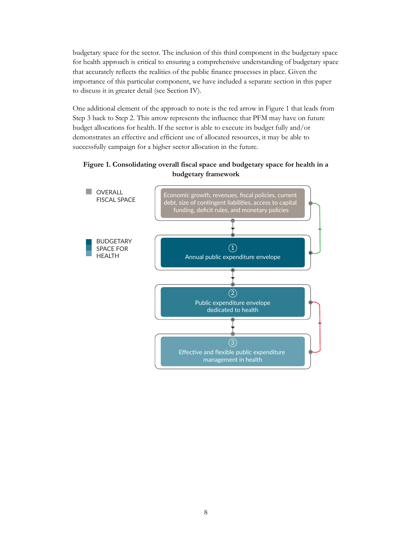budgetary space for the sector. The inclusion of this third component in the budgetary space for health approach is critical to ensuring a comprehensive understanding of budgetary space that accurately reflects the realities of the public finance processes in place. Given the importance of this particular component, we have included a separate section in this paper to discuss it in greater detail (see Section IV).

One additional element of the approach to note is the red arrow in Figure 1 that leads from Step 3 back to Step 2. This arrow represents the influence that PFM may have on future budget allocations for health. If the sector is able to execute its budget fully and/or demonstrates an effective and efficient use of allocated resources, it may be able to successfully campaign for a higher sector allocation in the future.

#### **Figure 1. Consolidating overall fiscal space and budgetary space for health in a budgetary framework**

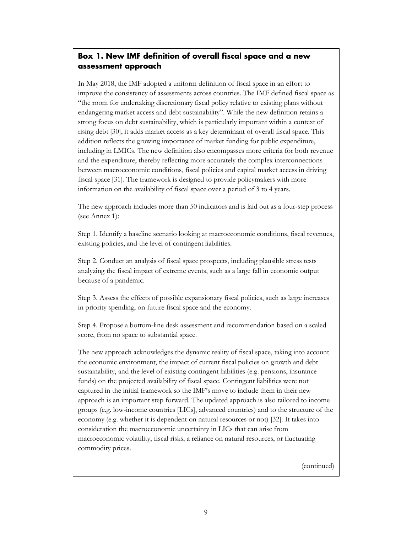# **Box 1. New IMF definition of overall fiscal space and a new assessment approach**

In May 2018, the IMF adopted a uniform definition of fiscal space in an effort to improve the consistency of assessments across countries. The IMF defined fiscal space as "the room for undertaking discretionary fiscal policy relative to existing plans without endangering market access and debt sustainability". While the new definition retains a strong focus on debt sustainability, which is particularly important within a context of rising debt [30], it adds market access as a key determinant of overall fiscal space. This addition reflects the growing importance of market funding for public expenditure, including in LMICs. The new definition also encompasses more criteria for both revenue and the expenditure, thereby reflecting more accurately the complex interconnections between macroeconomic conditions, fiscal policies and capital market access in driving fiscal space [31]. The framework is designed to provide policymakers with more information on the availability of fiscal space over a period of 3 to 4 years.

The new approach includes more than 50 indicators and is laid out as a four-step process (see Annex 1):

Step 1. Identify a baseline scenario looking at macroeconomic conditions, fiscal revenues, existing policies, and the level of contingent liabilities.

Step 2. Conduct an analysis of fiscal space prospects, including plausible stress tests analyzing the fiscal impact of extreme events, such as a large fall in economic output because of a pandemic.

Step 3. Assess the effects of possible expansionary fiscal policies, such as large increases in priority spending, on future fiscal space and the economy.

Step 4. Propose a bottom-line desk assessment and recommendation based on a scaled score, from no space to substantial space.

The new approach acknowledges the dynamic reality of fiscal space, taking into account the economic environment, the impact of current fiscal policies on growth and debt sustainability, and the level of existing contingent liabilities (e.g. pensions, insurance funds) on the projected availability of fiscal space. Contingent liabilities were not captured in the initial framework so the IMF's move to include them in their new approach is an important step forward. The updated approach is also tailored to income groups (e.g. low-income countries [LICs], advanced countries) and to the structure of the economy (e.g. whether it is dependent on natural resources or not) [32]. It takes into consideration the macroeconomic uncertainty in LICs that can arise from macroeconomic volatility, fiscal risks, a reliance on natural resources, or fluctuating commodity prices.

(continued)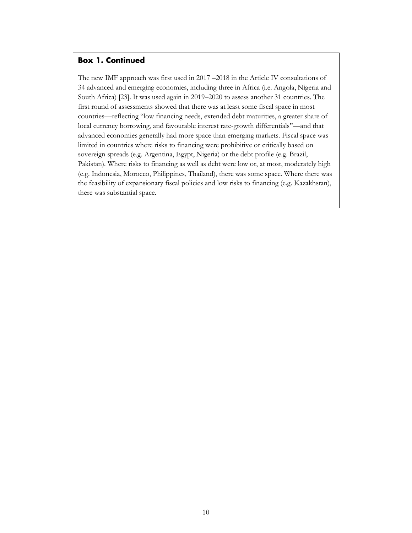### **Box 1. Continued**

The new IMF approach was first used in 2017 –2018 in the Article IV consultations of 34 advanced and emerging economies, including three in Africa (i.e. Angola, Nigeria and South Africa) [23]. It was used again in 2019–2020 to assess another 31 countries. The first round of assessments showed that there was at least some fiscal space in most countries—reflecting "low financing needs, extended debt maturities, a greater share of local currency borrowing, and favourable interest rate-growth differentials"—and that advanced economies generally had more space than emerging markets. Fiscal space was limited in countries where risks to financing were prohibitive or critically based on sovereign spreads (e.g. Argentina, Egypt, Nigeria) or the debt profile (e.g. Brazil, Pakistan). Where risks to financing as well as debt were low or, at most, moderately high (e.g. Indonesia, Morocco, Philippines, Thailand), there was some space. Where there was the feasibility of expansionary fiscal policies and low risks to financing (e.g. Kazakhstan), there was substantial space.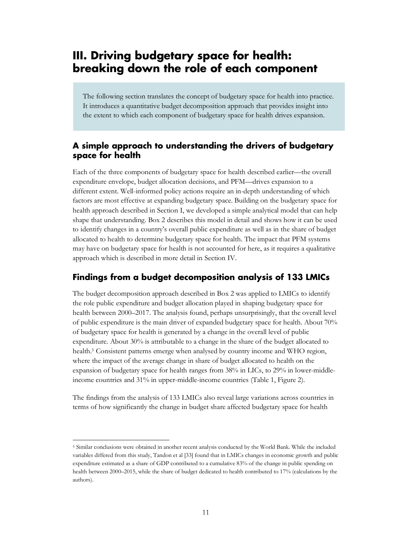# <span id="page-13-0"></span>**III. Driving budgetary space for health: breaking down the role of each component**

The following section translates the concept of budgetary space for health into practice. It introduces a quantitative budget decomposition approach that provides insight into the extent to which each component of budgetary space for health drives expansion.

### <span id="page-13-1"></span>**A simple approach to understanding the drivers of budgetary space for health**

Each of the three components of budgetary space for health described earlier—the overall expenditure envelope, budget allocation decisions, and PFM—drives expansion to a different extent. Well-informed policy actions require an in-depth understanding of which factors are most effective at expanding budgetary space. Building on the budgetary space for health approach described in Section I, we developed a simple analytical model that can help shape that understanding. Box 2 describes this model in detail and shows how it can be used to identify changes in a country's overall public expenditure as well as in the share of budget allocated to health to determine budgetary space for health. The impact that PFM systems may have on budgetary space for health is not accounted for here, as it requires a qualitative approach which is described in more detail in Section IV.

# <span id="page-13-2"></span>**Findings from a budget decomposition analysis of 133 LMICs**

The budget decomposition approach described in Box 2 was applied to LMICs to identify the role public expenditure and budget allocation played in shaping budgetary space for health between 2000–2017. The analysis found, perhaps unsurprisingly, that the overall level of public expenditure is the main driver of expanded budgetary space for health. About 70% of budgetary space for health is generated by a change in the overall level of public expenditure. About 30% is attributable to a change in the share of the budget allocated to health.[5](#page-13-3) Consistent patterns emerge when analysed by country income and WHO region, where the impact of the average change in share of budget allocated to health on the expansion of budgetary space for health ranges from 38% in LICs, to 29% in lower-middleincome countries and 31% in upper-middle-income countries (Table 1, Figure 2).

The findings from the analysis of 133 LMICs also reveal large variations across countries in terms of how significantly the change in budget share affected budgetary space for health

<span id="page-13-3"></span> <sup>5</sup> Similar conclusions were obtained in another recent analysis conducted by the World Bank. While the included variables differed from this study, Tandon et al [33] found that in LMICs changes in economic growth and public expenditure estimated as a share of GDP contributed to a cumulative 83% of the change in public spending on health between 2000–2015, while the share of budget dedicated to health contributed to 17% (calculations by the authors).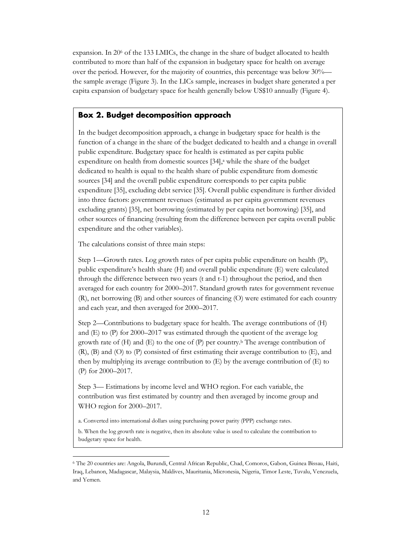expansion. In 20[6](#page-14-0) of the 133 LMICs, the change in the share of budget allocated to health contributed to more than half of the expansion in budgetary space for health on average over the period. However, for the majority of countries, this percentage was below 30% the sample average (Figure 3). In the LICs sample, increases in budget share generated a per capita expansion of budgetary space for health generally below US\$10 annually (Figure 4).

#### **Box 2. Budget decomposition approach**

In the budget decomposition approach, a change in budgetary space for health is the function of a change in the share of the budget dedicated to health and a change in overall public expenditure. Budgetary space for health is estimated as per capita public expenditure on health from domestic sources [34],<sup>a</sup> while the share of the budget dedicated to health is equal to the health share of public expenditure from domestic sources [34] and the overall public expenditure corresponds to per capita public expenditure [35], excluding debt service [35]. Overall public expenditure is further divided into three factors: government revenues (estimated as per capita government revenues excluding grants) [35], net borrowing (estimated by per capita net borrowing) [35], and other sources of financing (resulting from the difference between per capita overall public expenditure and the other variables).

The calculations consist of three main steps:

Step 1—Growth rates. Log growth rates of per capita public expenditure on health (P), public expenditure's health share (H) and overall public expenditure (E) were calculated through the difference between two years (t and t-1) throughout the period, and then averaged for each country for 2000–2017. Standard growth rates for government revenue (R), net borrowing (B) and other sources of financing (O) were estimated for each country and each year, and then averaged for 2000–2017.

Step 2—Contributions to budgetary space for health. The average contributions of (H) and (E) to (P) for 2000–2017 was estimated through the quotient of the average log growth rate of  $(H)$  and  $(E)$  to the one of  $(P)$  per country.<sup>b</sup> The average contribution of (R), (B) and (O) to (P) consisted of first estimating their average contribution to (E), and then by multiplying its average contribution to (E) by the average contribution of (E) to (P) for 2000–2017.

Step 3— Estimations by income level and WHO region. For each variable, the contribution was first estimated by country and then averaged by income group and WHO region for 2000–2017.

a. Converted into international dollars using purchasing power parity (PPP) exchange rates.

b. When the log growth rate is negative, then its absolute value is used to calculate the contribution to budgetary space for health.

<span id="page-14-0"></span> <sup>6</sup> The 20 countries are: Angola, Burundi, Central African Republic, Chad, Comoros, Gabon, Guinea Bissau, Haiti, Iraq, Lebanon, Madagascar, Malaysia, Maldives, Mauritania, Micronesia, Nigeria, Timor Leste, Tuvalu, Venezuela, and Yemen.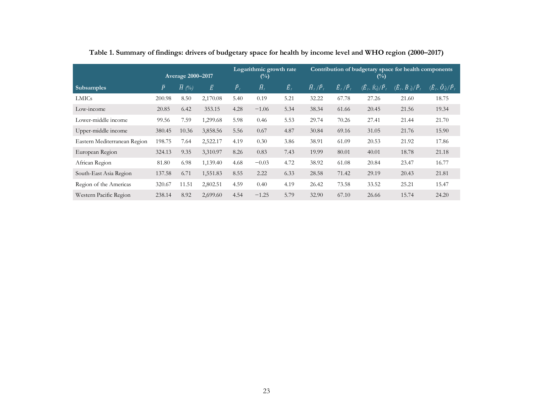|                              | <b>Average 2000-2017</b> |               |           | Logarithmic growth rate<br>$(\%)$ |                 |                 | Contribution of budgetary space for health components<br>$(\%)$ |                               |                                              |                                                  |                                                         |
|------------------------------|--------------------------|---------------|-----------|-----------------------------------|-----------------|-----------------|-----------------------------------------------------------------|-------------------------------|----------------------------------------------|--------------------------------------------------|---------------------------------------------------------|
| <b>Subsamples</b>            | $\bar{P}$                | $\bar{H}$ (%) | $\bar{E}$ | $\widehat{P}_t$                   | $\widehat{H}_t$ | $\widehat{E}_t$ | $\widehat{H}_t/\widehat{P}_t$                                   | $\widehat{E}_t/\widehat{P}_t$ | $(\widehat{E}_t, \breve{R}_t)/\widehat{P}_t$ | $(\widehat{E}_t, \widecheck{B}_t)/\widehat{P}_t$ | $(\widehat{E}_{i},\,\widecheck{O}_{i})/\widehat{P}_{i}$ |
| <b>LMICs</b>                 | 200.98                   | 8.50          | 2,170.08  | 5.40                              | 0.19            | 5.21            | 32.22                                                           | 67.78                         | 27.26                                        | 21.60                                            | 18.75                                                   |
| Low-income                   | 20.85                    | 6.42          | 353.15    | 4.28                              | $-1.06$         | 5.34            | 38.34                                                           | 61.66                         | 20.45                                        | 21.56                                            | 19.34                                                   |
| Lower-middle income          | 99.56                    | 7.59          | 1,299.68  | 5.98                              | 0.46            | 5.53            | 29.74                                                           | 70.26                         | 27.41                                        | 21.44                                            | 21.70                                                   |
| Upper-middle income          | 380.45                   | 10.36         | 3,858.56  | 5.56                              | 0.67            | 4.87            | 30.84                                                           | 69.16                         | 31.05                                        | 21.76                                            | 15.90                                                   |
| Eastern Mediterranean Region | 198.75                   | 7.64          | 2,522.17  | 4.19                              | 0.30            | 3.86            | 38.91                                                           | 61.09                         | 20.53                                        | 21.92                                            | 17.86                                                   |
| European Region              | 324.13                   | 9.35          | 3,310.97  | 8.26                              | 0.83            | 7.43            | 19.99                                                           | 80.01                         | 40.01                                        | 18.78                                            | 21.18                                                   |
| African Region               | 81.80                    | 6.98          | 1,139.40  | 4.68                              | $-0.03$         | 4.72            | 38.92                                                           | 61.08                         | 20.84                                        | 23.47                                            | 16.77                                                   |
| South-East Asia Region       | 137.58                   | 6.71          | 1,551.83  | 8.55                              | 2.22            | 6.33            | 28.58                                                           | 71.42                         | 29.19                                        | 20.43                                            | 21.81                                                   |
| Region of the Americas       | 320.67                   | 11.51         | 2,802.51  | 4.59                              | 0.40            | 4.19            | 26.42                                                           | 73.58                         | 33.52                                        | 25.21                                            | 15.47                                                   |
| Western Pacific Region       | 238.14                   | 8.92          | 2,699.60  | 4.54                              | $-1.25$         | 5.79            | 32.90                                                           | 67.10                         | 26.66                                        | 15.74                                            | 24.20                                                   |

**Table 1. Summary of findings: drivers of budgetary space for health by income level and WHO region (2000–2017)**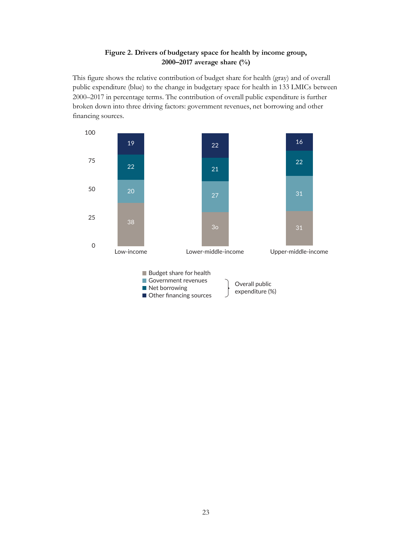### **Figure 2. Drivers of budgetary space for health by income group, 2000–2017 average share (%)**

This figure shows the relative contribution of budget share for health (gray) and of overall public expenditure (blue) to the change in budgetary space for health in 133 LMICs between 2000–2017 in percentage terms. The contribution of overall public expenditure is further broken down into three driving factors: government revenues, net borrowing and other financing sources.

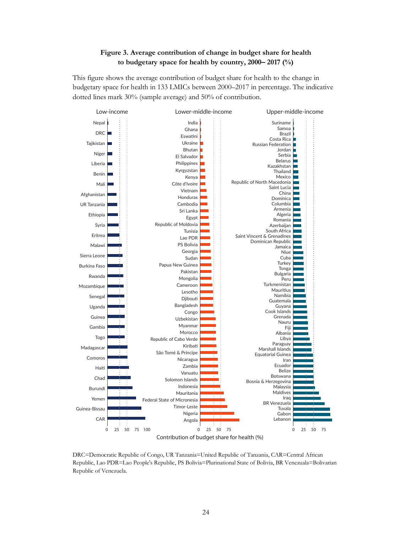#### **Figure 3. Average contribution of change in budget share for health to budgetary space for health by country, 2000– 2017 (%)**

This figure shows the average contribution of budget share for health to the change in budgetary space for health in 133 LMICs between 2000–2017 in percentage. The indicative dotted lines mark 30% (sample average) and 50% of contribution.



DRC=Democratic Republic of Congo, UR Tanzania=United Republic of Tanzania, CAR=Central African Republic, Lao PDR=Lao People's Republic, PS Bolivia=Plurinational State of Bolivia, BR Venezuala=Bolivarian Republic of Venezuela.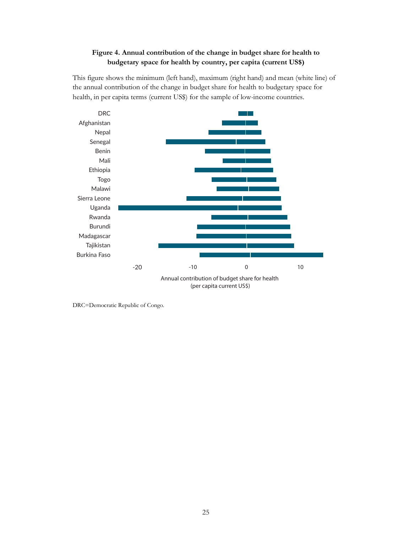### **Figure 4. Annual contribution of the change in budget share for health to budgetary space for health by country, per capita (current US\$)**

This figure shows the minimum (left hand), maximum (right hand) and mean (white line) of the annual contribution of the change in budget share for health to budgetary space for health, in per capita terms (current US\$) for the sample of low-income countries.



DRC=Democratic Republic of Congo.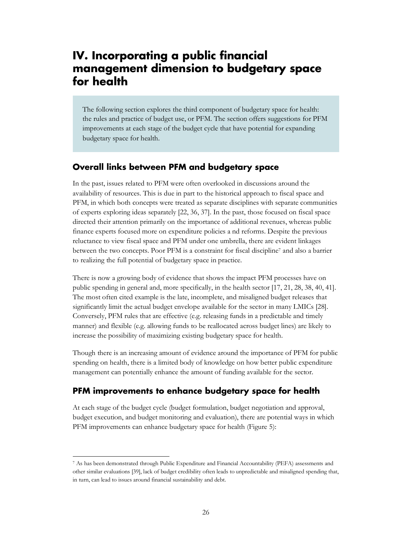# <span id="page-19-0"></span>**IV. Incorporating a public financial management dimension to budgetary space for health**

<span id="page-19-1"></span>The following section explores the third component of budgetary space for health: the rules and practice of budget use, or PFM. The section offers suggestions for PFM improvements at each stage of the budget cycle that have potential for expanding budgetary space for health.

### **Overall links between PFM and budgetary space**

In the past, issues related to PFM were often overlooked in discussions around the availability of resources. This is due in part to the historical approach to fiscal space and PFM, in which both concepts were treated as separate disciplines with separate communities of experts exploring ideas separately [22, 36, 37]. In the past, those focused on fiscal space directed their attention primarily on the importance of additional revenues, whereas public finance experts focused more on expenditure policies a nd reforms. Des[p](#page-19-3)ite the previous reluctance to view fiscal space and PFM under one umbrella, there are evident linkages between the two concepts. Poor PFM is a constraint for fiscal discipline<sup>7</sup> and also a barrier to realizing the full potential of budgetary space in practice.

There is now a growing body of evidence that shows the impact PFM processes have on public spending in general and, more specifically, in the health sector [17, 21, 28, 38, 40, 41]. The most often cited example is the late, incomplete, and misaligned budget releases that significantly limit the actual budget envelope available for the sector in many LMICs [28]. Conversely, PFM rules that are effective (e.g. releasing funds in a predictable and timely manner) and flexible (e.g. allowing funds to be reallocated across budget lines) are likely to increase the possibility of maximizing existing budgetary space for health.

Though there is an increasing amount of evidence around the importance of PFM for public spending on health, there is a limited body of knowledge on how better public expenditure management can potentially enhance the amount of funding available for the sector.

# <span id="page-19-2"></span>**PFM improvements to enhance budgetary space for health**

At each stage of the budget cycle (budget formulation, budget negotiation and approval, budget execution, and budget monitoring and evaluation), there are potential ways in which PFM improvements can enhance budgetary space for health (Figure 5):

<span id="page-19-3"></span> <sup>7</sup> As has been demonstrated through Public Expenditure and Financial Accountability (PEFA) assessments and other similar evaluations [39], lack of budget credibility often leads to unpredictable and misaligned spending that, in turn, can lead to issues around financial sustainability and debt.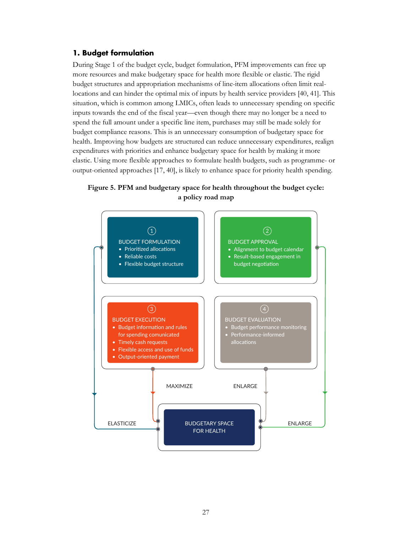#### <span id="page-20-0"></span>**1. Budget formulation**

During Stage 1 of the budget cycle, budget formulation, PFM improvements can free up more resources and make budgetary space for health more flexible or elastic. The rigid budget structures and appropriation mechanisms of line-item allocations often limit reallocations and can hinder the optimal mix of inputs by health service providers [40, 41]. This situation, which is common among LMICs, often leads to unnecessary spending on specific inputs towards the end of the fiscal year—even though there may no longer be a need to spend the full amount under a specific line item, purchases may still be made solely for budget compliance reasons. This is an unnecessary consumption of budgetary space for health. Improving how budgets are structured can reduce unnecessary expenditures, realign expenditures with priorities and enhance budgetary space for health by making it more elastic. Using more flexible approaches to formulate health budgets, such as programme- or output-oriented approaches [17, 40], is likely to enhance space for priority health spending.



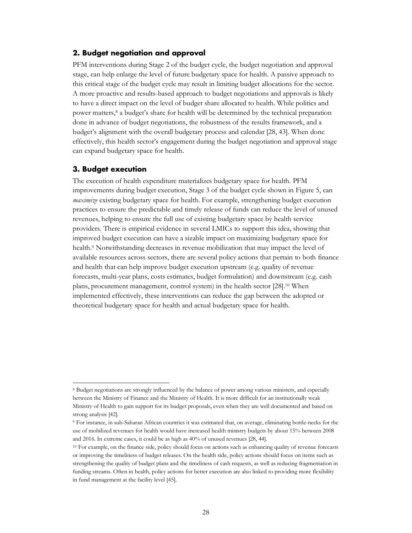#### <span id="page-21-0"></span>**2. Budget negotiation and approval**

PFM interventions during Stage 2 of the budget cycle, the budget negotiation and approval stage, can help enlarge the level of future budgetary space for health. A passive approach to this critical stage of the budget cycle may result in limiting budget allocations for the sector. A more proactive and results-based approach to budget negotiations and approvals is likely to have a direct impact on the level of budget share allocated to health. While politics and power matters,[8](#page-21-2) a budget's share for health will be determined by the technical preparation done in advance of budget negotiations, the robustness of the results framework, and a budget's alignment with the overall budgetary process and calendar [28, 43]. When done effectively, this health sector's engagement during the budget negotiation and approval stage can expand budgetary space for health.

#### <span id="page-21-1"></span>**3. Budget execution**

The execution of health expenditure materializes budgetary space for health. PFM improvements during budget execution, Stage 3 of the budget cycle shown in Figure 5, can *maximize* existing budgetary space for health. For example, strengthening budget execution practices to ensure the predictable and timely release of funds can reduce the level of unused revenues, helping to ensure the full use of existing budgetary space by health service providers. There is empirical evidence in several LMICs to support this idea, showing that improved budget execution can have a sizable impact on maximizing budgetary space for health.[9](#page-21-3) Notwithstanding decreases in revenue mobilization that may impact the level of available resources across sectors, there are several policy actions that pertain to both finance and health that can help improve budget execution upstream (e.g. quality of revenue forecasts, multi-year plans, costs estimates, budget formulation) and downstream (e.g. cash plans, procurement management, control system) in the health sector [28][.10](#page-21-4) When implemented effectively, these interventions can reduce the gap between the adopted or theoretical budgetary space for health and actual budgetary space for health.

<span id="page-21-2"></span> <sup>8</sup> Budget negotiations are strongly influenced by the balance of power among various ministers, and especially between the Ministry of Finance and the Ministry of Health. It is more difficult for an institutionally weak Ministry of Health to gain support for its budget proposals, even when they are well documented and based on strong analysis [42].

<span id="page-21-3"></span><sup>9</sup> For instance, in sub-Saharan African countries it was estimated that, on average, eliminating bottle-necks for the use of mobilized revenues for health would have increased health ministry budgets by about 15% between 2008 and 2016. In extreme cases, it could be as high as 40% of unused revenues [28, 44].

<span id="page-21-4"></span><sup>10</sup> For example, on the finance side, policy should focus on actions such as enhancing quality of revenue forecasts or improving the timeliness of budget releases. On the health side, policy actions should focus on items such as strengthening the quality of budget plans and the timeliness of cash requests, as well as reducing fragmentation in funding streams. Often in health, policy actions for better execution are also linked to providing more flexibility in fund management at the facility level [45].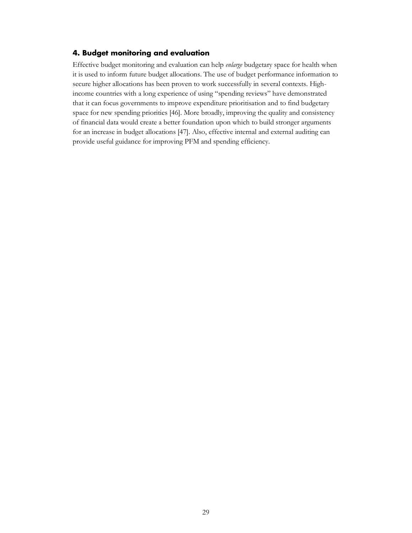#### <span id="page-22-0"></span>**4. Budget monitoring and evaluation**

Effective budget monitoring and evaluation can help *enlarge* budgetary space for health when it is used to inform future budget allocations. The use of budget performance information to secure higher allocations has been proven to work successfully in several contexts. Highincome countries with a long experience of using "spending reviews" have demonstrated that it can focus governments to improve expenditure prioritisation and to find budgetary space for new spending priorities [46]. More broadly, improving the quality and consistency of financial data would create a better foundation upon which to build stronger arguments for an increase in budget allocations [47]. Also, effective internal and external auditing can provide useful guidance for improving PFM and spending efficiency.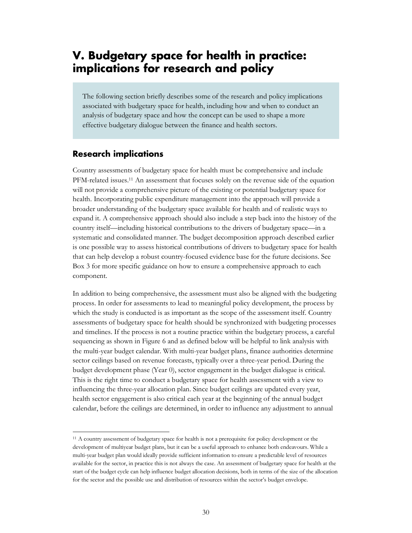# <span id="page-23-0"></span>**V. Budgetary space for health in practice: implications for research and policy**

The following section briefly describes some of the research and policy implications associated with budgetary space for health, including how and when to conduct an analysis of budgetary space and how the concept can be used to shape a more effective budgetary dialogue between the finance and health sectors.

#### <span id="page-23-1"></span>**Research implications**

Country assessments of budgetary space for health must be comprehensive and include PFM-related issues.[11](#page-23-2) An assessment that focuses solely on the revenue side of the equation will not provide a comprehensive picture of the existing or potential budgetary space for health. Incorporating public expenditure management into the approach will provide a broader understanding of the budgetary space available for health and of realistic ways to expand it. A comprehensive approach should also include a step back into the history of the country itself—including historical contributions to the drivers of budgetary space—in a systematic and consolidated manner. The budget decomposition approach described earlier is one possible way to assess historical contributions of drivers to budgetary space for health that can help develop a robust country-focused evidence base for the future decisions. See Box 3 for more specific guidance on how to ensure a comprehensive approach to each component.

In addition to being comprehensive, the assessment must also be aligned with the budgeting process. In order for assessments to lead to meaningful policy development, the process by which the study is conducted is as important as the scope of the assessment itself. Country assessments of budgetary space for health should be synchronized with budgeting processes and timelines. If the process is not a routine practice within the budgetary process, a careful sequencing as shown in Figure 6 and as defined below will be helpful to link analysis with the multi-year budget calendar. With multi-year budget plans, finance authorities determine sector ceilings based on revenue forecasts, typically over a three-year period. During the budget development phase (Year 0), sector engagement in the budget dialogue is critical. This is the right time to conduct a budgetary space for health assessment with a view to influencing the three-year allocation plan. Since budget ceilings are updated every year, health sector engagement is also critical each year at the beginning of the annual budget calendar, before the ceilings are determined, in order to influence any adjustment to annual

<span id="page-23-2"></span><sup>&</sup>lt;sup>11</sup> A country assessment of budgetary space for health is not a prerequisite for policy development or the development of multiyear budget plans, but it can be a useful approach to enhance both endeavours. While a multi-year budget plan would ideally provide sufficient information to ensure a predictable level of resources available for the sector, in practice this is not always the case. An assessment of budgetary space for health at the start of the budget cycle can help influence budget allocation decisions, both in terms of the size of the allocation for the sector and the possible use and distribution of resources within the sector's budget envelope.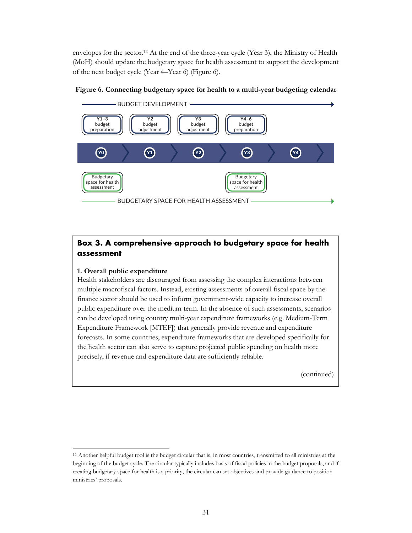envelopes for the sector.[12](#page-24-0) At the end of the three-year cycle (Year 3), the Ministry of Health (MoH) should update the budgetary space for health assessment to support the development of the next budget cycle (Year 4–Year 6) (Figure 6).



**Figure 6. Connecting budgetary space for health to a multi-year budgeting calendar**

### **Box 3. A comprehensive approach to budgetary space for health assessment**

#### **1. Overall public expenditure**

Health stakeholders are discouraged from assessing the complex interactions between multiple macrofiscal factors. Instead, existing assessments of overall fiscal space by the finance sector should be used to inform government-wide capacity to increase overall public expenditure over the medium term. In the absence of such assessments, scenarios can be developed using country multi-year expenditure frameworks (e.g. Medium-Term Expenditure Framework [MTEF]) that generally provide revenue and expenditure forecasts. In some countries, expenditure frameworks that are developed specifically for the health sector can also serve to capture projected public spending on health more precisely, if revenue and expenditure data are sufficiently reliable.

(continued)

<span id="page-24-0"></span> <sup>12</sup> Another helpful budget tool is the budget circular that is, in most countries, transmitted to all ministries at the beginning of the budget cycle. The circular typically includes basis of fiscal policies in the budget proposals, and if creating budgetary space for health is a priority, the circular can set objectives and provide guidance to position ministries' proposals.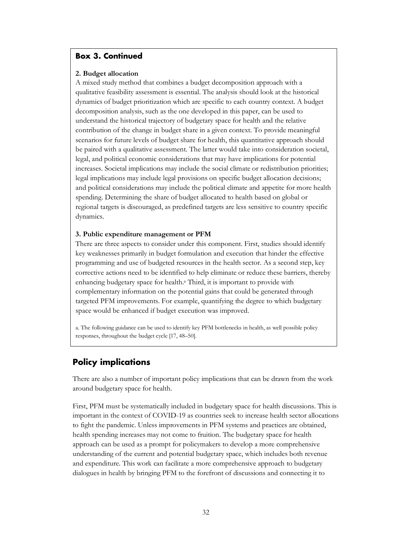#### **Box 3. Continued**

#### **2. Budget allocation**

A mixed study method that combines a budget decomposition approach with a qualitative feasibility assessment is essential. The analysis should look at the historical dynamics of budget prioritization which are specific to each country context. A budget decomposition analysis, such as the one developed in this paper, can be used to understand the historical trajectory of budgetary space for health and the relative contribution of the change in budget share in a given context. To provide meaningful scenarios for future levels of budget share for health, this quantitative approach should be paired with a qualitative assessment. The latter would take into consideration societal, legal, and political economic considerations that may have implications for potential increases. Societal implications may include the social climate or redistribution priorities; legal implications may include legal provisions on specific budget allocation decisions; and political considerations may include the political climate and appetite for more health spending. Determining the share of budget allocated to health based on global or regional targets is discouraged, as predefined targets are less sensitive to country specific dynamics.

#### **3. Public expenditure management or PFM**

There are three aspects to consider under this component. First, studies should identify key weaknesses primarily in budget formulation and execution that hinder the effective programming and use of budgeted resources in the health sector. As a second step, key corrective actions need to be identified to help eliminate or reduce these barriers, thereby enhancing budgetary space for health.<sup>a</sup> Third, it is important to provide with complementary information on the potential gains that could be generated through targeted PFM improvements. For example, quantifying the degree to which budgetary space would be enhanced if budget execution was improved.

a. The following guidance can be used to identify key PFM bottlenecks in health, as well possible policy responses, throughout the budget cycle [17, 48–50].

# <span id="page-25-0"></span>**Policy implications**

There are also a number of important policy implications that can be drawn from the work around budgetary space for health.

First, PFM must be systematically included in budgetary space for health discussions. This is important in the context of COVID-19 as countries seek to increase health sector allocations to fight the pandemic. Unless improvements in PFM systems and practices are obtained, health spending increases may not come to fruition. The budgetary space for health approach can be used as a prompt for policymakers to develop a more comprehensive understanding of the current and potential budgetary space, which includes both revenue and expenditure. This work can facilitate a more comprehensive approach to budgetary dialogues in health by bringing PFM to the forefront of discussions and connecting it to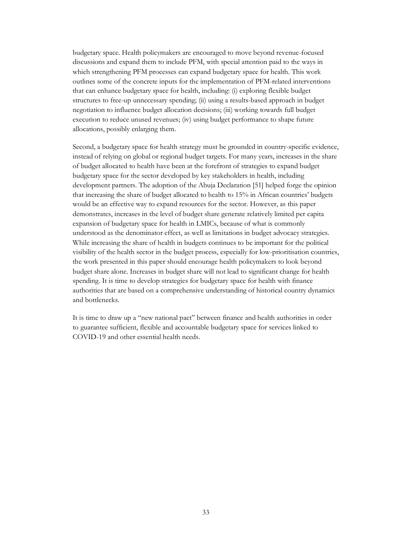budgetary space. Health policymakers are encouraged to move beyond revenue-focused discussions and expand them to include PFM, with special attention paid to the ways in which strengthening PFM processes can expand budgetary space for health. This work outlines some of the concrete inputs for the implementation of PFM-related interventions that can enhance budgetary space for health, including: (i) exploring flexible budget structures to free-up unnecessary spending; (ii) using a results-based approach in budget negotiation to influence budget allocation decisions; (iii) working towards full budget execution to reduce unused revenues; (iv) using budget performance to shape future allocations, possibly enlarging them.

Second, a budgetary space for health strategy must be grounded in country-specific evidence, instead of relying on global or regional budget targets. For many years, increases in the share of budget allocated to health have been at the forefront of strategies to expand budget budgetary space for the sector developed by key stakeholders in health, including development partners. The adoption of the Abuja Declaration [51] helped forge the opinion that increasing the share of budget allocated to health to 15% in African countries' budgets would be an effective way to expand resources for the sector. However, as this paper demonstrates, increases in the level of budget share generate relatively limited per capita expansion of budgetary space for health in LMICs, because of what is commonly understood as the denominator effect, as well as limitations in budget advocacy strategies. While increasing the share of health in budgets continues to be important for the political visibility of the health sector in the budget process, especially for low-prioritisation countries, the work presented in this paper should encourage health policymakers to look beyond budget share alone. Increases in budget share will not lead to significant change for health spending. It is time to develop strategies for budgetary space for health with finance authorities that are based on a comprehensive understanding of historical country dynamics and bottlenecks.

It is time to draw up a "new national pact" between finance and health authorities in order to guarantee sufficient, flexible and accountable budgetary space for services linked to COVID-19 and other essential health needs.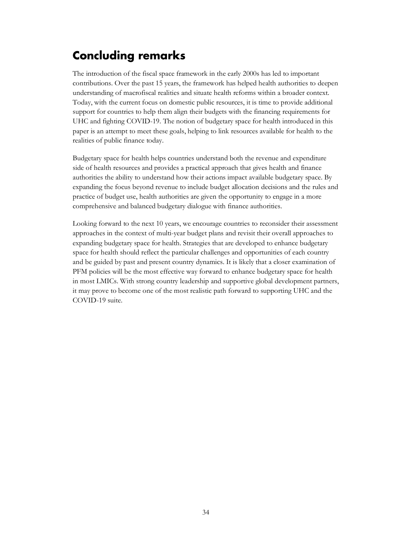# <span id="page-27-0"></span>**Concluding remarks**

The introduction of the fiscal space framework in the early 2000s has led to important contributions. Over the past 15 years, the framework has helped health authorities to deepen understanding of macrofiscal realities and situate health reforms within a broader context. Today, with the current focus on domestic public resources, it is time to provide additional support for countries to help them align their budgets with the financing requirements for UHC and fighting COVID-19. The notion of budgetary space for health introduced in this paper is an attempt to meet these goals, helping to link resources available for health to the realities of public finance today.

Budgetary space for health helps countries understand both the revenue and expenditure side of health resources and provides a practical approach that gives health and finance authorities the ability to understand how their actions impact available budgetary space. By expanding the focus beyond revenue to include budget allocation decisions and the rules and practice of budget use, health authorities are given the opportunity to engage in a more comprehensive and balanced budgetary dialogue with finance authorities.

Looking forward to the next 10 years, we encourage countries to reconsider their assessment approaches in the context of multi-year budget plans and revisit their overall approaches to expanding budgetary space for health. Strategies that are developed to enhance budgetary space for health should reflect the particular challenges and opportunities of each country and be guided by past and present country dynamics. It is likely that a closer examination of PFM policies will be the most effective way forward to enhance budgetary space for health in most LMICs. With strong country leadership and supportive global development partners, it may prove to become one of the most realistic path forward to supporting UHC and the COVID-19 suite.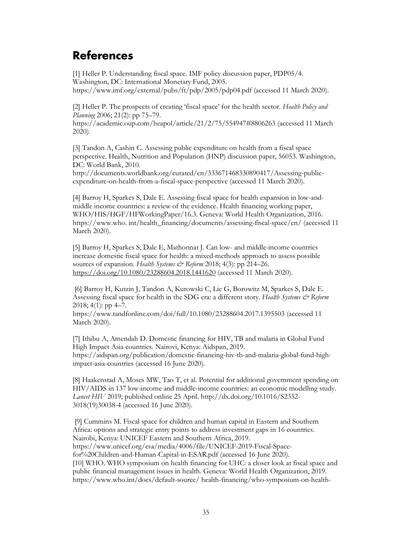# <span id="page-28-0"></span>**References**

[1] Heller P. Understanding fiscal space. IMF policy discussion paper, PDP05/4. Washington, DC: International Monetary Fund, 2005. https://www.imf.org/external/pubs/ft/pdp/2005/pdp04.pdf (accessed 11 March 2020).

[2] Heller P. The prospects of creating 'fiscal space' for the health sector. *Health Policy and Planning* 2006; 21(2): pp 75–79.

https://academic.oup.com/heapol/article/21/2/75/554947#8806263 (accessed 11 March 2020).

[3] Tandon A, Cashin C. Assessing public expenditure on health from a fiscal space perspective. Health, Nutrition and Population (HNP) discussion paper, 56053. Washington, DC: World Bank, 2010.

http://documents.worldbank.org/curated/en/333671468330890417/Assessing-publicexpenditure-on-health-from-a-fiscal-space-perspective (accessed 11 March 2020).

[4] Barroy H, Sparkes S, Dale E. Assessing fiscal space for health expansion in low-andmiddle income countries: a review of the evidence. Health financing working paper, WHO/HIS/HGF/HFWorkingPaper/16.3. Geneva: World Health Organization, 2016. https://www.who. int/health\_financing/documents/assessing-fiscal-space/en/ (accessed 11 March 2020).

[5] Barroy H, Sparkes S, Dale E, Mathonnat J. Can low- and middle-income countries increase domestic fiscal space for health: a mixed-methods approach to assess possible sources of expansion. *Health Systems & Reform* 2018; 4(3): pp 214–26. <https://doi.org/10.1080/23288604.2018.1441620> (accessed 11 March 2020).

[6] Barroy H, Kutzin J, Tandon A, Kurowski C, Lie G, Borowitz M, Sparkes S, Dale E. Assessing fiscal space for health in the SDG era: a different story. *Health Systems & Reform*  $2018$ ; 4(1): pp 4–7.

https://www.tandfonline.com/doi/full/10.1080/23288604.2017.1395503 (accessed 11 March 2020).

[7] Ithibu A, Amendah D. Domestic financing for HIV, TB and malaria in Global Fund High Impact Asia countries. Nairovi, Kenya: Aidspan, 2019. https://aidspan.org/publication/domestic-financing-hiv-tb-and-malaria-global-fund-highimpact-asia-countries (accessed 16 June 2020).

[8] Haakenstad A, Moses MW, Tao T, et al. Potential for additional government spending on HIV/AIDS in 137 low-income and middle-income countries: an economic modelling study. *Lancet HIV* 2019; published online 25 April. http://dx.doi.org/10.1016/S2352- 3018(19)30038-4 (accessed 16 June 2020).

[9] Cummins M. Fiscal space for children and human capital in Eastern and Southern Africa: options and strategic entry points to address investment gaps in 16 countries. Nairobi, Kenya: UNICEF Eastern and Southern Africa, 2019. https://www.unicef.org/esa/media/4006/file/UNICEF-2019-Fiscal-Spacefor%20Children-and-Human-Capital-in-ESAR.pdf (accessed 16 June 2020). [10] WHO. WHO symposium on health financing for UHC: a closer look at fiscal space and public financial management issues in health. Geneva: World Health Organization, 2019. https://www.who.int/docs/default-source/ health-financing/who-symposium-on-health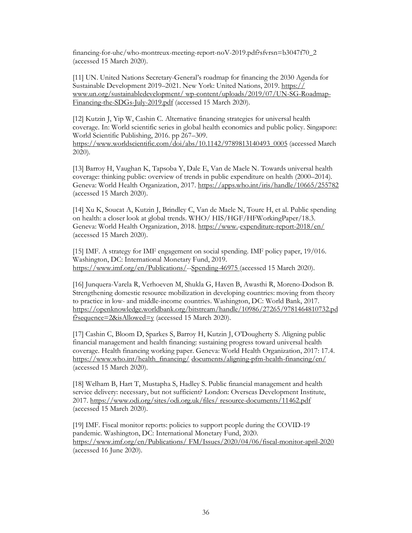financing-for-uhc/who-montreux-meeting-report-noV-2019.pdf?sfvrsn=b3047f70\_2 (accessed 15 March 2020).

[11] UN. United Nations Secretary-General's roadmap for financing the 2030 Agenda for Sustainable Development 2019–2021. New York: United Nations, 2019. [https://](https://www.un.org/sustainabledevelopment/wp-content/uploads/2019/07/UN-SG-Roadmap-Financing-the-SDGs-July-2019.pdf) [www.un.org/sustainabledevelopment/](https://www.un.org/sustainabledevelopment/wp-content/uploads/2019/07/UN-SG-Roadmap-Financing-the-SDGs-July-2019.pdf) [wp-content/uploads/2019/07/UN-SG-Roadmap-](https://www.un.org/sustainabledevelopment/wp-content/uploads/2019/07/UN-SG-Roadmap-Financing-the-SDGs-July-2019.pdf)[Financing-the-SDGs-July-2019.pdf](https://www.un.org/sustainabledevelopment/wp-content/uploads/2019/07/UN-SG-Roadmap-Financing-the-SDGs-July-2019.pdf) (accessed 15 March 2020).

[12] Kutzin J, Yip W, Cashin C. Alternative financing strategies for universal health coverage. In: World scientific series in global health economics and public policy. Singapore: World Scientific Publishing, 2016. pp 267–309. [https://www.worldscientific.com/doi/abs/10.1142/9789813140493\\_0005](https://www.worldscientific.com/doi/abs/10.1142/9789813140493_0005) (accessed March 2020).

[13] Barroy H, Vaughan K, Tapsoba Y, Dale E, Van de Maele N. Towards universal health coverage: thinking public: overview of trends in public expenditure on health (2000–2014). Geneva: World Health Organization, 2017.<https://apps.who.int/iris/handle/10665/255782> (accessed 15 March 2020).

[14] Xu K, Soucat A, Kutzin J, Brindley C, Van de Maele N, Toure H, et al. Public spending on health: a closer look at global trends. WHO/ HIS/HGF/HFWorkingPaper/18.3. Geneva: World Health Organization, 2018. [https://www.-expenditure-report-2018/en/](https://www.who.int/health_financing/documents/health-expenditure-report-2018/en/)  (accessed 15 March 2020).

[15] IMF. A strategy for IMF engagement on social spending. IMF policy paper, 19/016. Washington, DC: International Monetary Fund, 2019. [https://www.imf.org/en/Publications/--Spending-46975 \(](https://www.imf.org/en/Publications/Policy-Papers/Issues/2019/06/10/A-Strategy-for-IMF-Engagement-on-Social-Spending-46975)accessed 15 March 2020).

[16] Junquera-Varela R, Verhoeven M, Shukla G, Haven B, Awasthi R, Moreno-Dodson B. Strengthening domestic resource mobilization in developing countries: moving from theory to practice in low- and middle-income countries. Washington, DC: World Bank, 2017. [https://openknowledge.worldbank.org/bitstream/handle/10986/27265/9781464810732.pd](https://openknowledge.worldbank.org/bitstream/handle/10986/27265/9781464810732.pdf?sequence=2&isAllowed=y) [f?sequence=2&isAllowed=y](https://openknowledge.worldbank.org/bitstream/handle/10986/27265/9781464810732.pdf?sequence=2&isAllowed=y) (accessed 15 March 2020).

[17] Cashin C, Bloom D, Sparkes S, Barroy H, Kutzin J, O'Dougherty S. Aligning public financial management and health financing: sustaining progress toward universal health coverage. Health financing working paper. Geneva: World Health Organization, 2017: 17.4. [https://www.who.int/health\\_financing/](https://www.who.int/health_financing/documents/aligning-pfm-health-financing/en/) [documents/aligning-pfm-health-financing/en/](https://www.who.int/health_financing/documents/aligning-pfm-health-financing/en/) (accessed 15 March 2020).

[18] Welham B, Hart T, Mustapha S, Hadley S. Public financial management and health service delivery: necessary, but not sufficient? London: Overseas Development Institute, 2017. [https://www.odi.org/sites/odi.org.uk/files/](https://www.odi.org/sites/odi.org.uk/files/resource-documents/11462.pdf) [resource-documents/11462.pdf](https://www.odi.org/sites/odi.org.uk/files/resource-documents/11462.pdf)  (accessed 15 March 2020).

[19] IMF. Fiscal monitor reports: policies to support people during the COVID-19 pandemic. Washington, DC: International Monetary Fund, 2020. [https://www.imf.org/en/Publications/](https://www.imf.org/en/Publications/FM/Issues/2020/04/06/fiscal-monitor-april-2020) [FM/Issues/2020/04/06/fiscal-monitor-april-2020](https://www.imf.org/en/Publications/FM/Issues/2020/04/06/fiscal-monitor-april-2020)  (accessed 16 June 2020).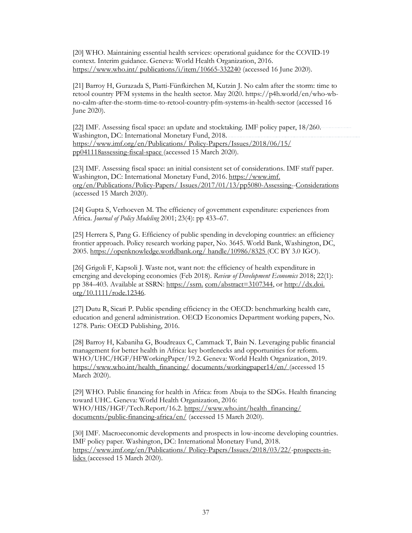[20] WHO. Maintaining essential health services: operational guidance for the COVID-19 context. Interim guidance. Geneva: World Health Organization, 2016. [https://www.who.int/](https://www.who.int/publications/i/item/10665-332240) [publications/i/item/10665-332240](https://www.who.int/publications/i/item/10665-332240) (accessed 16 June 2020).

[21] Barroy H, Gurazada S, Piatti-Fünfkirchen M, Kutzin J. No calm after the storm: time to retool country PFM systems in the health sector. May 2020. https://p4h.world/en/who-wbno-calm-after-the-storm-time-to-retool-country-pfm-systems-in-health-sector (accessed 16 June 2020).

[22] IMF. Assessing fiscal space: an update and stocktaking. IMF policy paper, 18/260. Washington, DC: International Monetary Fund, 2018. [https://www.imf.org/en/Publications/](https://www.imf.org/en/Publications/Policy-Papers/Issues/2018/06/15/pp041118assessing-fiscal-space) [Policy-Papers/Issues/2018/06/15/](https://www.imf.org/en/Publications/Policy-Papers/Issues/2018/06/15/pp041118assessing-fiscal-space) [pp041118assessing-fiscal-space \(](https://www.imf.org/en/Publications/Policy-Papers/Issues/2018/06/15/pp041118assessing-fiscal-space)accessed 15 March 2020).

[23] IMF. Assessing fiscal space: an initial consistent set of considerations. IMF staff paper. Washington, DC: International Monetary Fund, 2016. [https://www.imf.](https://www.imf.org/en/Publications/Policy-Papers/Issues/2017/01/13/pp5080-Assessing-Fiscal-Space-An) [org/en/Publications/Policy-Papers/](https://www.imf.org/en/Publications/Policy-Papers/Issues/2017/01/13/pp5080-Assessing-Fiscal-Space-An) [Issues/2017/01/13/pp5080-Assessing--Considerations](https://www.imf.org/en/Publications/Policy-Papers/Issues/2017/01/13/pp5080-Assessing-Fiscal-Space-An)  (accessed 15 March 2020).

[24] Gupta S, Verhoeven M. The efficiency of government expenditure: experiences from Africa. *Journal of Policy Modeling* 2001; 23(4): pp 433–67.

[25] Herrera S, Pang G. Efficiency of public spending in developing countries: an efficiency frontier approach. Policy research working paper, No. 3645. World Bank, Washington, DC, 2005. [https://openknowledge.worldbank.org/](https://openknowledge.worldbank.org/handle/10986/8325) [handle/10986/8325 \(](https://openknowledge.worldbank.org/handle/10986/8325)CC BY 3.0 IGO).

[26] Grigoli F, Kapsoli J. Waste not, want not: the efficiency of health expenditure in emerging and developing economies (Feb 2018). *Review of Development Economics* 2018; 22(1): pp 384–403. Available at SSRN: [https://ssrn.](https://ssrn.com/abstract%3D3107344) [com/abstract=3107344,](https://ssrn.com/abstract%3D3107344) o[r http://dx.doi.](http://dx.doi.org/10.1111/rode.12346) [org/10.1111/rode.12346.](http://dx.doi.org/10.1111/rode.12346)

[27] Dutu R, Sicari P. Public spending efficiency in the OECD: benchmarking health care, education and general administration. OECD Economics Department working papers, No. 1278. Paris: OECD Publishing, 2016.

[28] Barroy H, Kabaniha G, Boudreaux C, Cammack T, Bain N. Leveraging public financial management for better health in Africa: key bottlenecks and opportunities for reform. WHO/UHC/HGF/HFWorkingPaper/19.2. Geneva: World Health Organization, 2019. [https://www.who.int/health\\_financing/](https://www.who.int/health_financing/documents/workingpaper14/en/) [documents/workingpaper14/en/ \(](https://www.who.int/health_financing/documents/workingpaper14/en/)accessed 15 March 2020).

[29] WHO. Public financing for health in Africa: from Abuja to the SDGs. Health financing toward UHC. Geneva: World Health Organization, 2016: WHO/HIS/HGF/Tech.Report/16.2. [https://www.who.int/health\\_financing/](https://www.who.int/health_financing/documents/public-financing-africa/en/) [documents/public-financing-africa/en/](https://www.who.int/health_financing/documents/public-financing-africa/en/) (accessed 15 March 2020).

[30] IMF. Macroeconomic developments and prospects in low-income developing countries. IMF policy paper. Washington, DC: International Monetary Fund, 2018. [https://www.imf.org/en/Publications/](https://www.imf.org/en/Publications/Policy-Papers/Issues/2018/03/22/pp021518macroeconomic-developments-and-prospects-in-lidcs) [Policy-Papers/Issues/2018/03/22/-prospects-in](https://www.imf.org/en/Publications/Policy-Papers/Issues/2018/03/22/pp021518macroeconomic-developments-and-prospects-in-lidcs)[lidcs \(](https://www.imf.org/en/Publications/Policy-Papers/Issues/2018/03/22/pp021518macroeconomic-developments-and-prospects-in-lidcs)accessed 15 March 2020).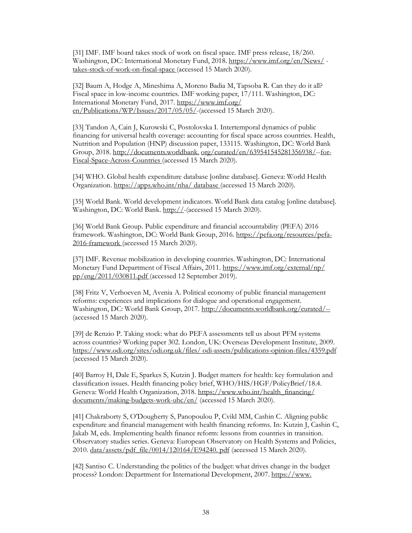[31] IMF. IMF board takes stock of work on fiscal space. IMF press release, 18/260. Washington, DC: International Monetary Fund, 2018. [https://www.imf.org/en/News/](https://www.imf.org/en/News/Articles/2018/06/26/pr18260imf-board-takes-stock-of-work-on-fiscal-space) [takes-stock-of-work-on-fiscal-space \(](https://www.imf.org/en/News/Articles/2018/06/26/pr18260imf-board-takes-stock-of-work-on-fiscal-space)accessed 15 March 2020).

[32] Baum A, Hodge A, Mineshima A, Moreno Badia M, Tapsoba R. Can they do it all? Fiscal space in low-income countries. IMF working paper, 17/111. Washington, DC: International Monetary Fund, 2017. [https://www.imf.org/](https://www.imf.org/en/Publications/WP/Issues/2017/05/05/Can-They-Do-It-All-Fiscal-Space-in-Low-Income-Countries-44889) [en/Publications/WP/Issues/2017/05/05/-](https://www.imf.org/en/Publications/WP/Issues/2017/05/05/Can-They-Do-It-All-Fiscal-Space-in-Low-Income-Countries-44889)(accessed 15 March 2020).

[33] Tandon A, Cain J, Kurowski C, Postolovska I. Intertemporal dynamics of public financing for universal health coverage: accounting for fiscal space across countries. Health, Nutrition and Population (HNP) discussion paper, 133115. Washington, DC: World Bank Group, 2018[. http://documents.worldbank.](http://documents.worldbank.org/curated/en/639541545281356938/Intertemporal-Dynamics-of-Public-Financing-for-Universal-Health-Coverage-Accounting-for-Fiscal-Space-Across-Countries) [org/curated/en/639541545281356938/--for-](http://documents.worldbank.org/curated/en/639541545281356938/Intertemporal-Dynamics-of-Public-Financing-for-Universal-Health-Coverage-Accounting-for-Fiscal-Space-Across-Countries)[Fiscal-Space-Across-Countries \(](http://documents.worldbank.org/curated/en/639541545281356938/Intertemporal-Dynamics-of-Public-Financing-for-Universal-Health-Coverage-Accounting-for-Fiscal-Space-Across-Countries)accessed 15 March 2020).

[34] WHO. Global health expenditure database [online database]. Geneva: World Health Organization. [https://apps.who.int/nha/](https://apps.who.int/nha/database) [database \(](https://apps.who.int/nha/database)accessed 15 March 2020).

[35] World Bank. World development indicators. World Bank data catalog [online database]. Washington, DC: World Bank. [http://-](http://datatopics.worldbank.org/world-development-indicators/)(accessed 15 March 2020).

[36] World Bank Group. Public expenditure and financial accountability (PEFA) 2016 framework. Washington, DC: World Bank Group, 2016. [https://pefa.org/resources/pefa-](https://pefa.org/resources/pefa-2016-framework)[2016-framework \(](https://pefa.org/resources/pefa-2016-framework)accessed 15 March 2020).

[37] IMF. Revenue mobilization in developing countries. Washington, DC: International Monetary Fund Department of Fiscal Affairs, 2011. [https://www.imf.org/external/np/](https://www.imf.org/external/np/pp/eng/2011/030811.pdf) [pp/eng/2011/030811.pdf \(](https://www.imf.org/external/np/pp/eng/2011/030811.pdf)accessed 12 September 2019).

[38] Fritz V, Verhoeven M, Avenia A. Political economy of public financial management reforms: experiences and implications for dialogue and operational engagement. Washington, DC: World Bank Group, 2017.<http://documents.worldbank.org/curated/--> (accessed 15 March 2020).

[39] de Renzio P. Taking stock: what do PEFA assessments tell us about PFM systems across countries? Working paper 302. London, UK: Overseas Development Institute, 2009. [https://www.odi.org/sites/odi.org.uk/files/ odi-assets/publications-opinion-files/4359.pdf](https://www.odi.org/sites/odi.org.uk/files/%20odi-assets/publications-opinion-files/4359.pdf) (accessed 15 March 2020).

[40] Barroy H, Dale E, Sparkes S, Kutzin J. Budget matters for health: key formulation and classification issues. Health financing policy brief, WHO/HIS/HGF/PolicyBrief/18.4. Geneva: World Health Organization, 2018. https://www.who.int/health\_financing/ [documents/making-budgets-work-uhc/en/](https://www.who.int/health_financing/%20documents/making-budgets-work-uhc/en/) (accessed 15 March 2020).

[41] Chakraborty S, O'Dougherty S, Panopoulou P, Cvikl MM, Cashin C. Aligning public expenditure and financial management with health financing reforms. In: Kutzin J, Cashin C, Jakab M, eds. Implementing health finance reform: lessons from countries in transition. Observatory studies series. Geneva: European Observatory on Health Systems and Policies, 2010. data/assets/pdf\_file/0014/120164/E94240. pdf (accessed 15 March 2020).

[42] Santiso C. Understanding the politics of the budget: what drives change in the budget process? London: Department for International Development, 2007[. https://www.](https://www.researchgate.net/publication/263855373_Understanding_the_Politics_of_the_Budget)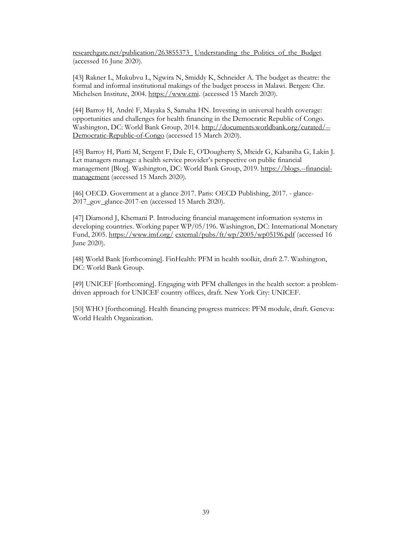[researchgate.net/publication/263855373\\_](https://www.researchgate.net/publication/263855373_Understanding_the_Politics_of_the_Budget) [Understanding\\_the\\_Politics\\_of\\_the\\_Budget](https://www.researchgate.net/publication/263855373_Understanding_the_Politics_of_the_Budget) (accessed 16 June 2020).

[43] Rakner L, Mukubvu L, Ngwira N, Smiddy K, Schneider A. The budget as theatre: the formal and informal institutional makings of the budget process in Malawi. Bergen: Chr. Michelsen Institute, 2004. [https://www.cmi.](https://www.cmi.no/publications/file/1928-the-budget-as-theatre-the-formal-and-informal.pdf) (accessed 15 March 2020).

[44] Barroy H, André F, Mayaka S, Samaha HN. Investing in universal health coverage: opportunities and challenges for health financing in the Democratic Republic of Congo. Washington, DC: World Bank Group, 2014. [http://documents.worldbank.org/curated/--](http://documents.worldbank.org/curated/--Democratic-Republic-of-Congo) [Democratic-Republic-of-Congo](http://documents.worldbank.org/curated/--Democratic-Republic-of-Congo) (accessed 15 March 2020).

[45] Barroy H, Piatti M, Sergent F, Dale E, O'Dougherty S, Mteidr G, Kabaniha G, Lakin J. Let managers manage: a health service provider's perspective on public financial management [Blog]. Washington, DC: World Bank Group, 2019. [https://blogs.--financial](https://blogs.worldbank.org/health/let-managers-manage-health-service-providers-perspective-public-financial-management)[management](https://blogs.worldbank.org/health/let-managers-manage-health-service-providers-perspective-public-financial-management) (accessed 15 March 2020).

[46] OECD. Government at a glance 2017. Paris: OECD Publishing, 2017. - glance-2017\_gov\_glance-2017-en (accessed 15 March 2020).

[47] Diamond J, Khemani P. Introducing financial management information systems in developing countries. Working paper WP/05/196. Washington, DC: International Monetary Fund, 2005[. https://www.imf.org/](https://www.imf.org/external/pubs/ft/wp/2005/wp05196.pdf) [external/pubs/ft/wp/2005/wp05196.pdf](https://www.imf.org/external/pubs/ft/wp/2005/wp05196.pdf) (accessed 16 June 2020).

[48] World Bank [forthcoming]. FinHealth: PFM in health toolkit, draft 2.7. Washington, DC: World Bank Group.

[49] UNICEF [forthcoming]. Engaging with PFM challenges in the health sector: a problemdriven approach for UNICEF country offices, draft. New York City: UNICEF.

[50] WHO [forthcoming]. Health financing progress matrices: PFM module, draft. Geneva: World Health Organization.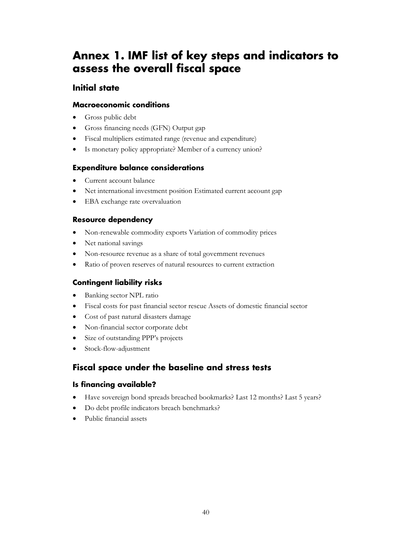# <span id="page-33-0"></span>**Annex 1. IMF list of key steps and indicators to assess the overall fiscal space**

# **Initial state**

### **Macroeconomic conditions**

- Gross public debt
- Gross financing needs (GFN) Output gap
- Fiscal multipliers estimated range (revenue and expenditure)
- Is monetary policy appropriate? Member of a currency union?

### **Expenditure balance considerations**

- Current account balance
- Net international investment position Estimated current account gap
- EBA exchange rate overvaluation

# **Resource dependency**

- Non-renewable commodity exports Variation of commodity prices
- Net national savings
- Non-resource revenue as a share of total government revenues
- Ratio of proven reserves of natural resources to current extraction

# **Contingent liability risks**

- Banking sector NPL ratio
- Fiscal costs for past financial sector rescue Assets of domestic financial sector
- Cost of past natural disasters damage
- Non-financial sector corporate debt
- Size of outstanding PPP's projects
- Stock-flow-adjustment

# **Fiscal space under the baseline and stress tests**

# **Is financing available?**

- Have sovereign bond spreads breached bookmarks? Last 12 months? Last 5 years?
- Do debt profile indicators breach benchmarks?
- Public financial assets